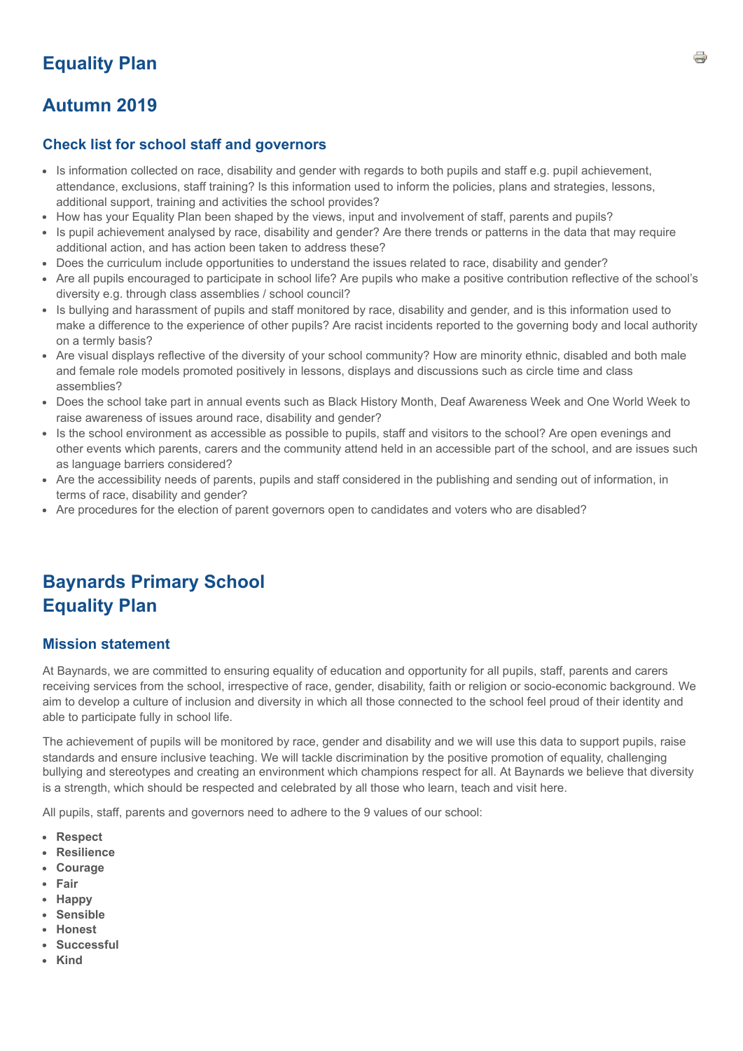# **Equality Plan**

# **Autumn 2019**

# **Check list for school staff and governors**

- Is information collected on race, disability and gender with regards to both pupils and staff e.g. pupil achievement, attendance, exclusions, staff training? Is this information used to inform the policies, plans and strategies, lessons, additional support, training and activities the school provides?
- How has your Equality Plan been shaped by the views, input and involvement of staff, parents and pupils?
- Is pupil achievement analysed by race, disability and gender? Are there trends or patterns in the data that may require additional action, and has action been taken to address these?
- Does the curriculum include opportunities to understand the issues related to race, disability and gender?
- Are all pupils encouraged to participate in school life? Are pupils who make a positive contribution reflective of the school's diversity e.g. through class assemblies / school council?
- Is bullying and harassment of pupils and staff monitored by race, disability and gender, and is this information used to make a difference to the experience of other pupils? Are racist incidents reported to the governing body and local authority on a termly basis?
- Are visual displays reflective of the diversity of your school community? How are minority ethnic, disabled and both male and female role models promoted positively in lessons, displays and discussions such as circle time and class assemblies?
- Does the school take part in annual events such as Black History Month, Deaf Awareness Week and One World Week to raise awareness of issues around race, disability and gender?
- Is the school environment as accessible as possible to pupils, staff and visitors to the school? Are open evenings and other events which parents, carers and the community attend held in an accessible part of the school, and are issues such as language barriers considered?
- Are the accessibility needs of parents, pupils and staff considered in the publishing and sending out of information, in terms of race, disability and gender?
- Are procedures for the election of parent governors open to candidates and voters who are disabled?

# **Baynards Primary School Equality Plan**

# **Mission statement**

At Baynards, we are committed to ensuring equality of education and opportunity for all pupils, staff, parents and carers receiving services from the school, irrespective of race, gender, disability, faith or religion or socio-economic background. We aim to develop a culture of inclusion and diversity in which all those connected to the school feel proud of their identity and able to participate fully in school life.

The achievement of pupils will be monitored by race, gender and disability and we will use this data to support pupils, raise standards and ensure inclusive teaching. We will tackle discrimination by the positive promotion of equality, challenging bullying and stereotypes and creating an environment which champions respect for all. At Baynards we believe that diversity is a strength, which should be respected and celebrated by all those who learn, teach and visit here.

All pupils, staff, parents and governors need to adhere to the 9 values of our school:

- **Respect**
- **Resilience**
- **Courage**
- **Fair**
- **Happy**
- **Sensible**
- **Honest**
- **Successful**
- **Kind**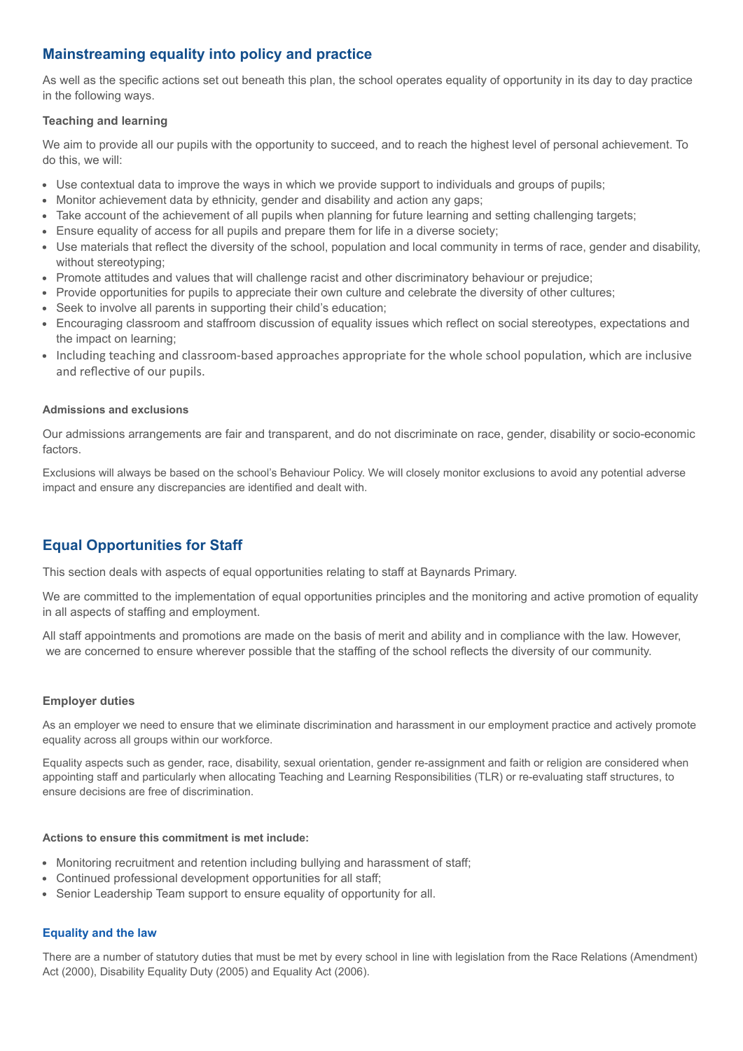# **Mainstreaming equality into policy and practice**

As well as the specific actions set out beneath this plan, the school operates equality of opportunity in its day to day practice in the following ways.

# **Teaching and learning**

We aim to provide all our pupils with the opportunity to succeed, and to reach the highest level of personal achievement. To do this, we will:

- Use contextual data to improve the ways in which we provide support to individuals and groups of pupils;
- Monitor achievement data by ethnicity, gender and disability and action any gaps;
- Take account of the achievement of all pupils when planning for future learning and setting challenging targets;
- Ensure equality of access for all pupils and prepare them for life in a diverse society;
- Use materials that reflect the diversity of the school, population and local community in terms of race, gender and disability, without stereotyping;
- Promote attitudes and values that will challenge racist and other discriminatory behaviour or prejudice;
- Provide opportunities for pupils to appreciate their own culture and celebrate the diversity of other cultures;
- Seek to involve all parents in supporting their child's education;
- Encouraging classroom and staffroom discussion of equality issues which reflect on social stereotypes, expectations and the impact on learning;
- Including teaching and classroom-based approaches appropriate for the whole school population, which are inclusive and reflective of our pupils.

### **Admissions and exclusions**

Our admissions arrangements are fair and transparent, and do not discriminate on race, gender, disability or socio-economic factors.

Exclusions will always be based on the school's Behaviour Policy. We will closely monitor exclusions to avoid any potential adverse impact and ensure any discrepancies are identified and dealt with.

# **Equal Opportunities for Staff**

This section deals with aspects of equal opportunities relating to staff at Baynards Primary.

We are committed to the implementation of equal opportunities principles and the monitoring and active promotion of equality in all aspects of staffing and employment.

All staff appointments and promotions are made on the basis of merit and ability and in compliance with the law. However, we are concerned to ensure wherever possible that the staffing of the school reflects the diversity of our community.

### **Employer duties**

As an employer we need to ensure that we eliminate discrimination and harassment in our employment practice and actively promote equality across all groups within our workforce.

Equality aspects such as gender, race, disability, sexual orientation, gender re-assignment and faith or religion are considered when appointing staff and particularly when allocating Teaching and Learning Responsibilities (TLR) or re-evaluating staff structures, to ensure decisions are free of discrimination.

### **Actions to ensure this commitment is met include:**

- Monitoring recruitment and retention including bullying and harassment of staff;
- Continued professional development opportunities for all staff;
- Senior Leadership Team support to ensure equality of opportunity for all.

# **Equality and the law**

There are a number of statutory duties that must be met by every school in line with legislation from the Race Relations (Amendment) Act (2000), Disability Equality Duty (2005) and Equality Act (2006).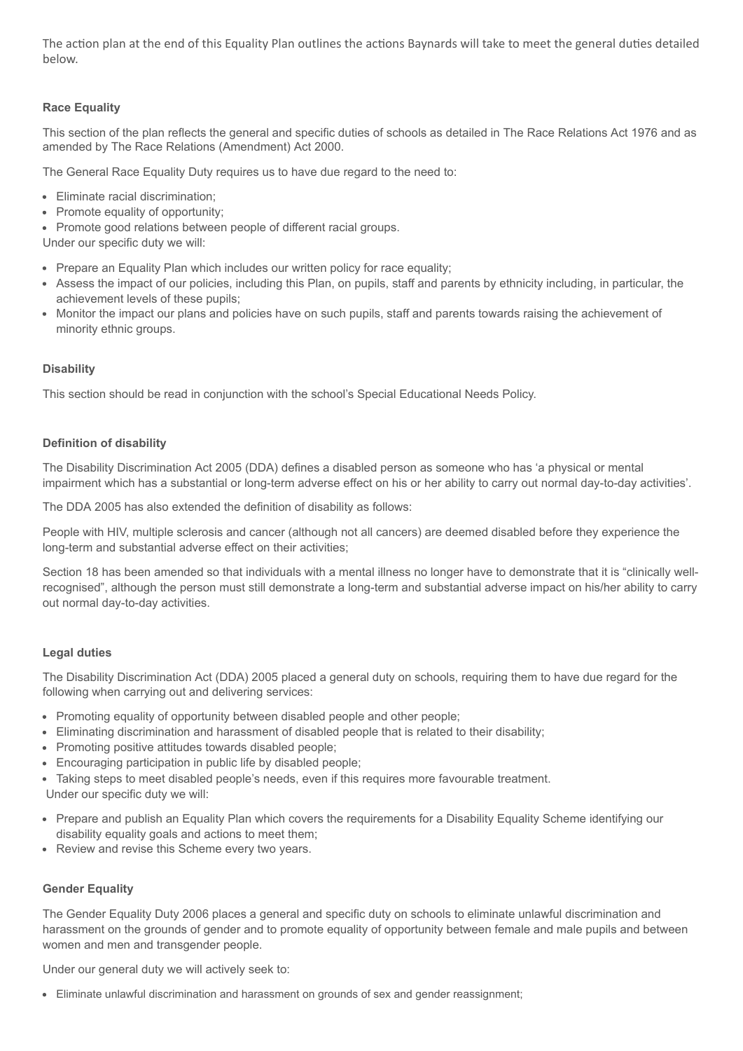The action plan at the end of this Equality Plan outlines the actions Baynards will take to meet the general duties detailed below.

# **Race Equality**

This section of the plan reflects the general and specific duties of schools as detailed in The Race Relations Act 1976 and as amended by The Race Relations (Amendment) Act 2000.

The General Race Equality Duty requires us to have due regard to the need to:

- Eliminate racial discrimination;
- Promote equality of opportunity;
- Promote good relations between people of different racial groups.

Under our specific duty we will:

- Prepare an Equality Plan which includes our written policy for race equality;
- Assess the impact of our policies, including this Plan, on pupils, staff and parents by ethnicity including, in particular, the achievement levels of these pupils;
- Monitor the impact our plans and policies have on such pupils, staff and parents towards raising the achievement of minority ethnic groups.

# **Disability**

This section should be read in conjunction with the school's Special Educational Needs Policy.

### **Definition of disability**

The Disability Discrimination Act 2005 (DDA) defines a disabled person as someone who has 'a physical or mental impairment which has a substantial or long-term adverse effect on his or her ability to carry out normal day-to-day activities'.

The DDA 2005 has also extended the definition of disability as follows:

People with HIV, multiple sclerosis and cancer (although not all cancers) are deemed disabled before they experience the long-term and substantial adverse effect on their activities;

Section 18 has been amended so that individuals with a mental illness no longer have to demonstrate that it is "clinically wellrecognised", although the person must still demonstrate a long-term and substantial adverse impact on his/her ability to carry out normal day-to-day activities.

### **Legal duties**

The Disability Discrimination Act (DDA) 2005 placed a general duty on schools, requiring them to have due regard for the following when carrying out and delivering services:

- Promoting equality of opportunity between disabled people and other people;
- Eliminating discrimination and harassment of disabled people that is related to their disability;
- Promoting positive attitudes towards disabled people;
- Encouraging participation in public life by disabled people;
- Taking steps to meet disabled people's needs, even if this requires more favourable treatment.

Under our specific duty we will:

- Prepare and publish an Equality Plan which covers the requirements for a Disability Equality Scheme identifying our disability equality goals and actions to meet them;
- Review and revise this Scheme every two years.

## **Gender Equality**

The Gender Equality Duty 2006 places a general and specific duty on schools to eliminate unlawful discrimination and harassment on the grounds of gender and to promote equality of opportunity between female and male pupils and between women and men and transgender people.

Under our general duty we will actively seek to:

Eliminate unlawful discrimination and harassment on grounds of sex and gender reassignment;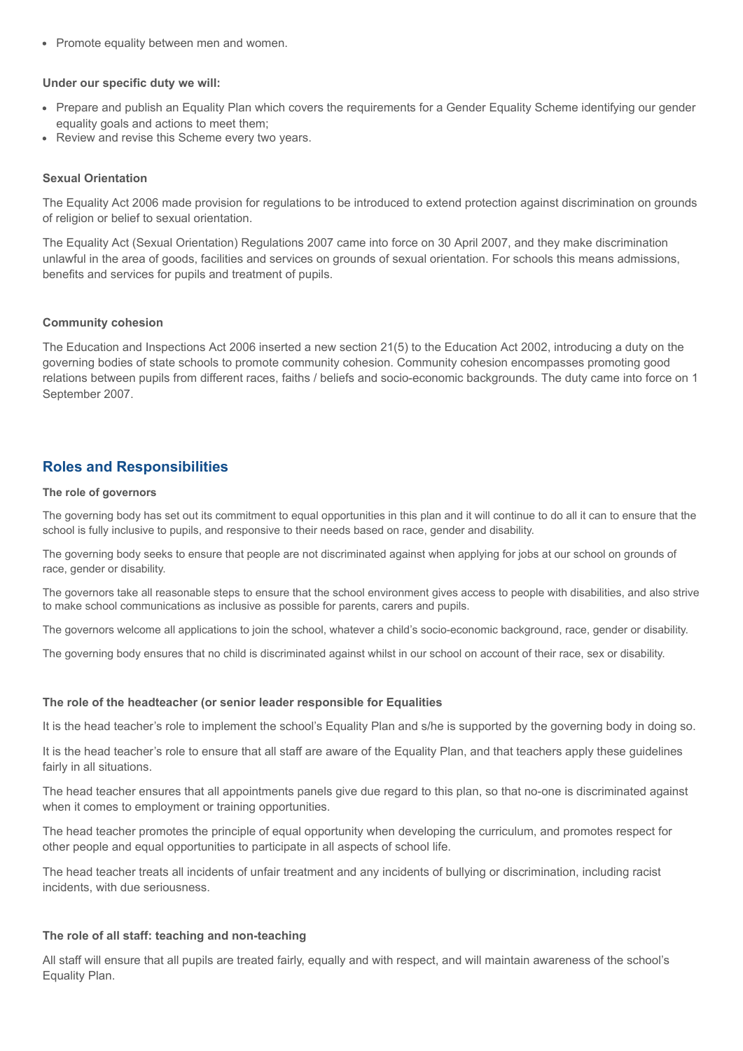• Promote equality between men and women.

#### **Under our specific duty we will:**

- Prepare and publish an Equality Plan which covers the requirements for a Gender Equality Scheme identifying our gender equality goals and actions to meet them;
- Review and revise this Scheme every two years.

#### **Sexual Orientation**

The Equality Act 2006 made provision for regulations to be introduced to extend protection against discrimination on grounds of religion or belief to sexual orientation.

The Equality Act (Sexual Orientation) Regulations 2007 came into force on 30 April 2007, and they make discrimination unlawful in the area of goods, facilities and services on grounds of sexual orientation. For schools this means admissions, benefits and services for pupils and treatment of pupils.

### **Community cohesion**

The Education and Inspections Act 2006 inserted a new section 21(5) to the Education Act 2002, introducing a duty on the governing bodies of state schools to promote community cohesion. Community cohesion encompasses promoting good relations between pupils from different races, faiths / beliefs and socio-economic backgrounds. The duty came into force on 1 September 2007.

# **Roles and Responsibilities**

#### **The role of governors**

The governing body has set out its commitment to equal opportunities in this plan and it will continue to do all it can to ensure that the school is fully inclusive to pupils, and responsive to their needs based on race, gender and disability.

The governing body seeks to ensure that people are not discriminated against when applying for jobs at our school on grounds of race, gender or disability.

The governors take all reasonable steps to ensure that the school environment gives access to people with disabilities, and also strive to make school communications as inclusive as possible for parents, carers and pupils.

The governors welcome all applications to join the school, whatever a child's socio-economic background, race, gender or disability.

The governing body ensures that no child is discriminated against whilst in our school on account of their race, sex or disability.

#### **The role of the headteacher (or senior leader responsible for Equalities**

It is the head teacher's role to implement the school's Equality Plan and s/he is supported by the governing body in doing so.

It is the head teacher's role to ensure that all staff are aware of the Equality Plan, and that teachers apply these guidelines fairly in all situations.

The head teacher ensures that all appointments panels give due regard to this plan, so that no-one is discriminated against when it comes to employment or training opportunities.

The head teacher promotes the principle of equal opportunity when developing the curriculum, and promotes respect for other people and equal opportunities to participate in all aspects of school life.

The head teacher treats all incidents of unfair treatment and any incidents of bullying or discrimination, including racist incidents, with due seriousness.

### **The role of all staff: teaching and non-teaching**

All staff will ensure that all pupils are treated fairly, equally and with respect, and will maintain awareness of the school's Equality Plan.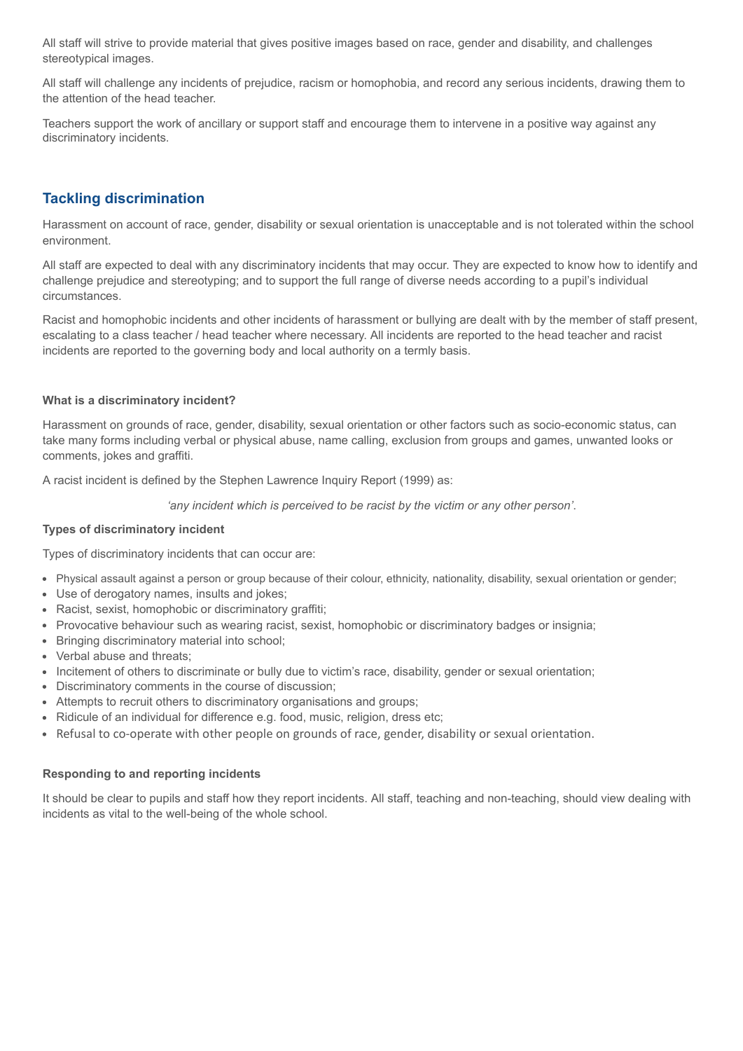All staff will strive to provide material that gives positive images based on race, gender and disability, and challenges stereotypical images.

All staff will challenge any incidents of prejudice, racism or homophobia, and record any serious incidents, drawing them to the attention of the head teacher.

Teachers support the work of ancillary or support staff and encourage them to intervene in a positive way against any discriminatory incidents.

# **Tackling discrimination**

Harassment on account of race, gender, disability or sexual orientation is unacceptable and is not tolerated within the school environment.

All staff are expected to deal with any discriminatory incidents that may occur. They are expected to know how to identify and challenge prejudice and stereotyping; and to support the full range of diverse needs according to a pupil's individual circumstances.

Racist and homophobic incidents and other incidents of harassment or bullying are dealt with by the member of staff present, escalating to a class teacher / head teacher where necessary. All incidents are reported to the head teacher and racist incidents are reported to the governing body and local authority on a termly basis.

# **What is a discriminatory incident?**

Harassment on grounds of race, gender, disability, sexual orientation or other factors such as socio-economic status, can take many forms including verbal or physical abuse, name calling, exclusion from groups and games, unwanted looks or comments, jokes and graffiti.

A racist incident is defined by the Stephen Lawrence Inquiry Report (1999) as:

*'any incident which is perceived to be racist by the victim or any other person'*.

## **Types of discriminatory incident**

Types of discriminatory incidents that can occur are:

- Physical assault against a person or group because of their colour, ethnicity, nationality, disability, sexual orientation or gender;
- Use of derogatory names, insults and jokes;
- Racist, sexist, homophobic or discriminatory graffiti;
- Provocative behaviour such as wearing racist, sexist, homophobic or discriminatory badges or insignia;
- Bringing discriminatory material into school;
- Verbal abuse and threats;
- Incitement of others to discriminate or bully due to victim's race, disability, gender or sexual orientation;
- Discriminatory comments in the course of discussion;
- Attempts to recruit others to discriminatory organisations and groups;
- Ridicule of an individual for difference e.g. food, music, religion, dress etc;
- Refusal to co-operate with other people on grounds of race, gender, disability or sexual orientation.

### **Responding to and reporting incidents**

It should be clear to pupils and staff how they report incidents. All staff, teaching and non-teaching, should view dealing with incidents as vital to the well-being of the whole school.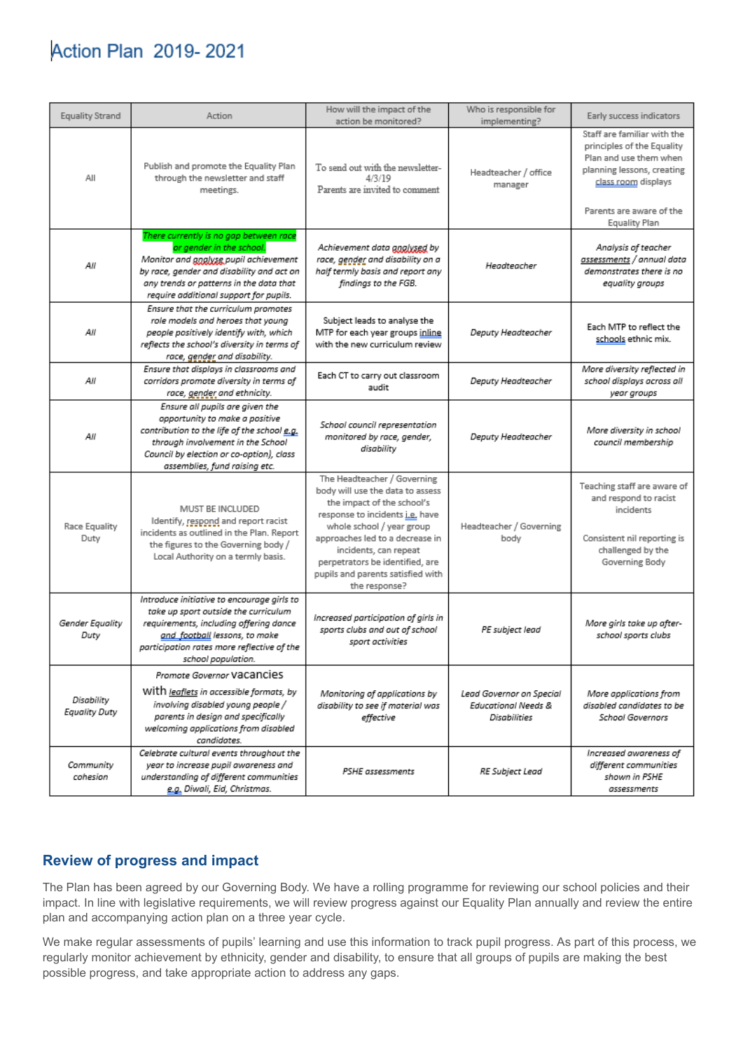# **Action Plan 2019-2021**

| <b>Equality Strand</b>      | Action                                                                                                                                                                                                                                        | How will the impact of the<br>action be monitored?                                                                                                                                                                                                                                                                 | Who is responsible for<br>implementing?                                    | Early success indicators                                                                                                                                                                     |
|-----------------------------|-----------------------------------------------------------------------------------------------------------------------------------------------------------------------------------------------------------------------------------------------|--------------------------------------------------------------------------------------------------------------------------------------------------------------------------------------------------------------------------------------------------------------------------------------------------------------------|----------------------------------------------------------------------------|----------------------------------------------------------------------------------------------------------------------------------------------------------------------------------------------|
| All                         | Publish and promote the Equality Plan<br>through the newsletter and staff<br>meetings.                                                                                                                                                        | To send out with the newsletter-<br>4/3/19<br>Parents are invited to comment                                                                                                                                                                                                                                       | Headteacher / office<br>manager                                            | Staff are familiar with the<br>principles of the Equality<br>Plan and use them when<br>planning lessons, creating<br>class room displays<br>Parents are aware of the<br><b>Equality Plan</b> |
| Аll                         | There currently is no gap between race<br>or gender in the school.<br>Monitor and goglysg pupil achievement<br>by race, gender and disability and act on<br>any trends or patterns in the data that<br>require additional support for pupils. | Achievement data gnalysed by<br>race, gender and disability on a<br>half termly basis and report any<br>findings to the FGB.                                                                                                                                                                                       | Headteacher                                                                | Analysis of teacher<br>assessments / annual data<br>demonstrates there is no<br>equality groups                                                                                              |
| AІІ                         | Ensure that the curriculum promotes<br>role models and heroes that young<br>people positively identify with, which<br>reflects the school's diversity in terms of<br>race, gender and disability.                                             | Subject leads to analyse the<br>MTP for each year groups inline<br>with the new curriculum review                                                                                                                                                                                                                  | Deputy Headteacher                                                         | Each MTP to reflect the<br>schools ethnic mix.                                                                                                                                               |
| Аll                         | Ensure that displays in classrooms and<br>corridors promote diversity in terms of<br>race, gender and ethnicity.                                                                                                                              | Each CT to carry out classroom<br>audit                                                                                                                                                                                                                                                                            | Deputy Headteacher                                                         | More diversity reflected in<br>school displays across all<br>year groups                                                                                                                     |
| Аll                         | Ensure all pupils are given the<br>opportunity to make a positive<br>contribution to the life of the school e.g.<br>through involvement in the School<br>Council by election or co-option), class<br>assemblies, fund raising etc.            | School council representation<br>monitored by race, gender,<br>disability                                                                                                                                                                                                                                          | Deputy Headteacher                                                         | More diversity in school<br>council membership                                                                                                                                               |
| Race Equality<br>Duty       | MUST BE INCLUDED<br>Identify, respond and report racist<br>incidents as outlined in the Plan. Report<br>the figures to the Governing body /<br>Local Authority on a termly basis.                                                             | The Headteacher / Governing<br>body will use the data to assess<br>the impact of the school's<br>response to incidents i.e. have<br>whole school / year group<br>approaches led to a decrease in<br>incidents, can repeat<br>perpetrators be identified, are<br>pupils and parents satisfied with<br>the response? | Headteacher / Governing<br>body                                            | Teaching staff are aware of<br>and respond to racist<br>incidents<br>Consistent nil reporting is<br>challenged by the<br>Governing Body                                                      |
| Gender Equality<br>Duty     | Introduce initiative to encourage girls to<br>take up sport outside the curriculum<br>requirements, including offering dance<br>and_football lessons, to make<br>participation rates more reflective of the<br>school population.             | Increased participation of girls in<br>sports clubs and out of school<br>sport activities                                                                                                                                                                                                                          | PE subject lead                                                            | More girls take up after-<br>school sports clubs                                                                                                                                             |
| Disability<br>Equality Duty | Promote Governor VaCancies<br>With leaflets in accessible formats, by<br>involving disabled young people /<br>parents in design and specifically<br>welcoming applications from disabled<br>candidates.                                       | Monitoring of applications by<br>disability to see if material was<br>effective                                                                                                                                                                                                                                    | Lead Governor on Special<br><b>Educational Needs &amp;</b><br>Disabilities | More applications from<br>disabled candidates to be<br><b>School Governors</b>                                                                                                               |
| Community<br>cohesion       | Celebrate cultural events throughout the<br>year to increase pupil awareness and<br>understanding of different communities<br>e.g. Diwali, Eid, Christmas.                                                                                    | PSHE assessments                                                                                                                                                                                                                                                                                                   | RE Subject Lead                                                            | Increased awareness of<br>different communities<br>shown in PSHE<br>assessments                                                                                                              |

# **Review of progress and impact**

The Plan has been agreed by our Governing Body. We have a rolling programme for reviewing our school policies and their impact. In line with legislative requirements, we will review progress against our Equality Plan annually and review the entire plan and accompanying action plan on a three year cycle.

We make regular assessments of pupils' learning and use this information to track pupil progress. As part of this process, we regularly monitor achievement by ethnicity, gender and disability, to ensure that all groups of pupils are making the best possible progress, and take appropriate action to address any gaps.